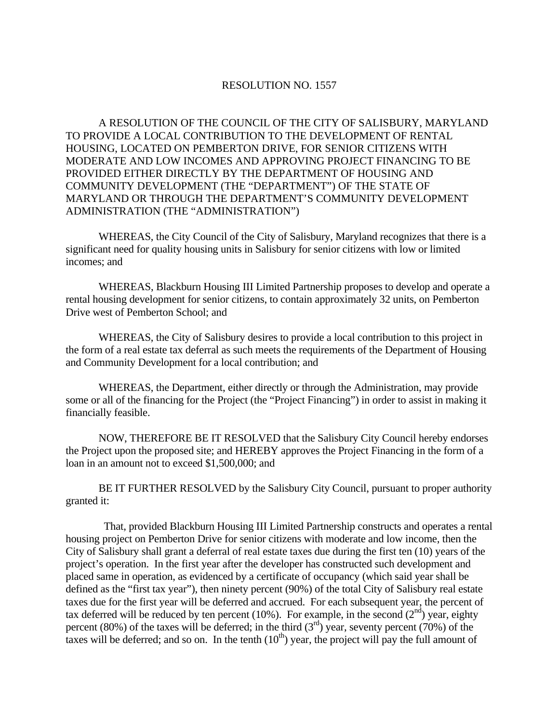## RESOLUTION NO. 1557

A RESOLUTION OF THE COUNCIL OF THE CITY OF SALISBURY, MARYLAND TO PROVIDE A LOCAL CONTRIBUTION TO THE DEVELOPMENT OF RENTAL HOUSING, LOCATED ON PEMBERTON DRIVE, FOR SENIOR CITIZENS WITH MODERATE AND LOW INCOMES AND APPROVING PROJECT FINANCING TO BE PROVIDED EITHER DIRECTLY BY THE DEPARTMENT OF HOUSING AND COMMUNITY DEVELOPMENT (THE "DEPARTMENT") OF THE STATE OF MARYLAND OR THROUGH THE DEPARTMENT'S COMMUNITY DEVELOPMENT ADMINISTRATION (THE "ADMINISTRATION")

 WHEREAS, the City Council of the City of Salisbury, Maryland recognizes that there is a significant need for quality housing units in Salisbury for senior citizens with low or limited incomes; and

 WHEREAS, Blackburn Housing III Limited Partnership proposes to develop and operate a rental housing development for senior citizens, to contain approximately 32 units, on Pemberton Drive west of Pemberton School; and

 WHEREAS, the City of Salisbury desires to provide a local contribution to this project in the form of a real estate tax deferral as such meets the requirements of the Department of Housing and Community Development for a local contribution; and

 WHEREAS, the Department, either directly or through the Administration, may provide some or all of the financing for the Project (the "Project Financing") in order to assist in making it financially feasible.

 NOW, THEREFORE BE IT RESOLVED that the Salisbury City Council hereby endorses the Project upon the proposed site; and HEREBY approves the Project Financing in the form of a loan in an amount not to exceed \$1,500,000; and

 BE IT FURTHER RESOLVED by the Salisbury City Council, pursuant to proper authority granted it:

 That, provided Blackburn Housing III Limited Partnership constructs and operates a rental housing project on Pemberton Drive for senior citizens with moderate and low income, then the City of Salisbury shall grant a deferral of real estate taxes due during the first ten (10) years of the project's operation. In the first year after the developer has constructed such development and placed same in operation, as evidenced by a certificate of occupancy (which said year shall be defined as the "first tax year"), then ninety percent (90%) of the total City of Salisbury real estate taxes due for the first year will be deferred and accrued. For each subsequent year, the percent of tax deferred will be reduced by ten percent (10%). For example, in the second ( $2<sup>nd</sup>$ ) year, eighty percent (80%) of the taxes will be deferred; in the third  $(3<sup>rd</sup>)$  year, seventy percent (70%) of the taxes will be deferred; and so on. In the tenth  $(10<sup>th</sup>)$  year, the project will pay the full amount of